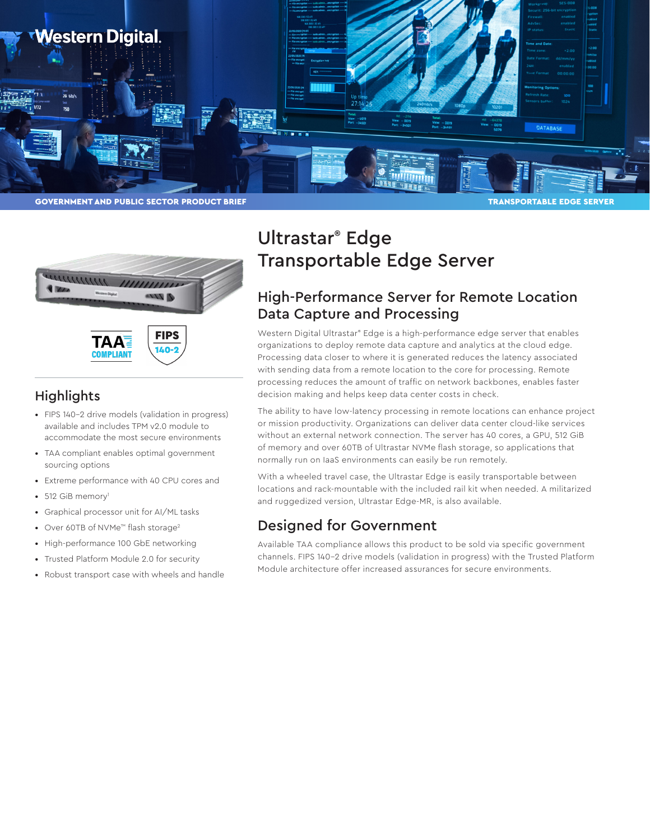



**FIPS** 140-**COMPLIANT** 

#### **Highlights**

- FIPS 140-2 drive models (validation in progress) available and includes TPM v2.0 module to accommodate the most secure environments
- TAA compliant enables optimal government sourcing options
- Extreme performance with 40 CPU cores and
- $512$  GiB memory<sup>1</sup>
- Graphical processor unit for AI/ML tasks
- Over 60TB of NVMe™ flash storage2
- High-performance 100 GbE networking
- Trusted Platform Module 2.0 for security
- Robust transport case with wheels and handle

# Ultrastar® Edge Transportable Edge Server

### High-Performance Server for Remote Location Data Capture and Processing

Western Digital Ultrastar® Edge is a high-performance edge server that enables organizations to deploy remote data capture and analytics at the cloud edge. Processing data closer to where it is generated reduces the latency associated with sending data from a remote location to the core for processing. Remote processing reduces the amount of traffic on network backbones, enables faster decision making and helps keep data center costs in check.

The ability to have low-latency processing in remote locations can enhance project or mission productivity. Organizations can deliver data center cloud-like services without an external network connection. The server has 40 cores, a GPU, 512 GiB of memory and over 60TB of Ultrastar NVMe flash storage, so applications that normally run on IaaS environments can easily be run remotely.

With a wheeled travel case, the Ultrastar Edge is easily transportable between locations and rack-mountable with the included rail kit when needed. A militarized and ruggedized version, Ultrastar Edge-MR, is also available.

## Designed for Government

Available TAA compliance allows this product to be sold via specific government channels. FIPS 140-2 drive models (validation in progress) with the Trusted Platform Module architecture offer increased assurances for secure environments.